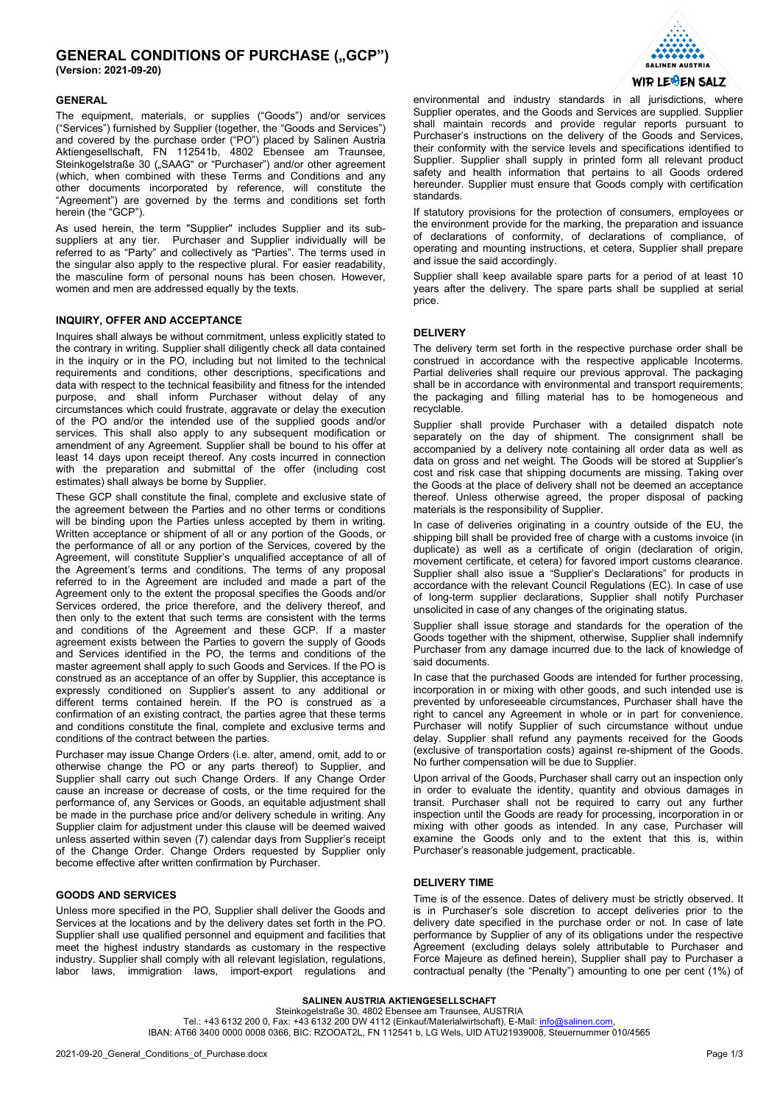# **GENERAL CONDITIONS OF PURCHASE ("GCP")**

**(Version: 2021-09-20)**

## **GENERAL**

The equipment, materials, or supplies ("Goods") and/or services ("Services") furnished by Supplier (together, the "Goods and Services") and covered by the purchase order ("PO") placed by Salinen Austria Aktiengesellschaft, FN 112541b, 4802 Ebensee am Traunsee, Steinkogelstraße 30 ("SAAG" or "Purchaser") and/or other agreement (which, when combined with these Terms and Conditions and any other documents incorporated by reference, will constitute the "Agreement") are governed by the terms and conditions set forth herein (the "GCP").

As used herein, the term "Supplier" includes Supplier and its subsuppliers at any tier. Purchaser and Supplier individually will be referred to as "Party" and collectively as "Parties". The terms used in the singular also apply to the respective plural. For easier readability, the masculine form of personal nouns has been chosen. However, women and men are addressed equally by the texts.

## **INQUIRY, OFFER AND ACCEPTANCE**

Inquires shall always be without commitment, unless explicitly stated to the contrary in writing. Supplier shall diligently check all data contained in the inquiry or in the PO, including but not limited to the technical requirements and conditions, other descriptions, specifications and data with respect to the technical feasibility and fitness for the intended purpose, and shall inform Purchaser without delay of any circumstances which could frustrate, aggravate or delay the execution of the PO and/or the intended use of the supplied goods and/or services. This shall also apply to any subsequent modification or amendment of any Agreement. Supplier shall be bound to his offer at least 14 days upon receipt thereof. Any costs incurred in connection with the preparation and submittal of the offer (including cost estimates) shall always be borne by Supplier.

These GCP shall constitute the final, complete and exclusive state of the agreement between the Parties and no other terms or conditions will be binding upon the Parties unless accepted by them in writing. Written acceptance or shipment of all or any portion of the Goods, or the performance of all or any portion of the Services, covered by the Agreement, will constitute Supplier's unqualified acceptance of all of the Agreement's terms and conditions. The terms of any proposal referred to in the Agreement are included and made a part of the Agreement only to the extent the proposal specifies the Goods and/or Services ordered, the price therefore, and the delivery thereof, and then only to the extent that such terms are consistent with the terms and conditions of the Agreement and these GCP. If a master agreement exists between the Parties to govern the supply of Goods and Services identified in the PO, the terms and conditions of the master agreement shall apply to such Goods and Services. If the PO is construed as an acceptance of an offer by Supplier, this acceptance is expressly conditioned on Supplier's assent to any additional or different terms contained herein. If the PO is construed as a confirmation of an existing contract, the parties agree that these terms and conditions constitute the final, complete and exclusive terms and conditions of the contract between the parties.

Purchaser may issue Change Orders (i.e. alter, amend, omit, add to or otherwise change the PO or any parts thereof) to Supplier, and Supplier shall carry out such Change Orders. If any Change Order cause an increase or decrease of costs, or the time required for the performance of, any Services or Goods, an equitable adjustment shall be made in the purchase price and/or delivery schedule in writing. Any Supplier claim for adjustment under this clause will be deemed waived unless asserted within seven (7) calendar days from Supplier's receipt of the Change Order. Change Orders requested by Supplier only become effective after written confirmation by Purchaser.

## **GOODS AND SERVICES**

Unless more specified in the PO, Supplier shall deliver the Goods and Services at the locations and by the delivery dates set forth in the PO. Supplier shall use qualified personnel and equipment and facilities that meet the highest industry standards as customary in the respective industry. Supplier shall comply with all relevant legislation, regulations, labor laws, immigration laws, import-export regulations and



environmental and industry standards in all jurisdictions, where Supplier operates, and the Goods and Services are supplied. Supplier shall maintain records and provide regular reports pursuant to Purchaser's instructions on the delivery of the Goods and Services, their conformity with the service levels and specifications identified to Supplier. Supplier shall supply in printed form all relevant product safety and health information that pertains to all Goods ordered hereunder. Supplier must ensure that Goods comply with certification standards.

If statutory provisions for the protection of consumers, employees or the environment provide for the marking, the preparation and issuance of declarations of conformity, of declarations of compliance, of operating and mounting instructions, et cetera, Supplier shall prepare and issue the said accordingly.

Supplier shall keep available spare parts for a period of at least 10 years after the delivery. The spare parts shall be supplied at serial price.

### **DELIVERY**

The delivery term set forth in the respective purchase order shall be construed in accordance with the respective applicable Incoterms. Partial deliveries shall require our previous approval. The packaging shall be in accordance with environmental and transport requirements; the packaging and filling material has to be homogeneous and recyclable.

Supplier shall provide Purchaser with a detailed dispatch note separately on the day of shipment. The consignment shall be accompanied by a delivery note containing all order data as well as data on gross and net weight. The Goods will be stored at Supplier's cost and risk case that shipping documents are missing. Taking over the Goods at the place of delivery shall not be deemed an acceptance thereof. Unless otherwise agreed, the proper disposal of packing materials is the responsibility of Supplier.

In case of deliveries originating in a country outside of the EU, the shipping bill shall be provided free of charge with a customs invoice (in duplicate) as well as a certificate of origin (declaration of origin, movement certificate, et cetera) for favored import customs clearance. Supplier shall also issue a "Supplier's Declarations" for products in accordance with the relevant Council Regulations (EC). In case of use of long-term supplier declarations, Supplier shall notify Purchaser unsolicited in case of any changes of the originating status.

Supplier shall issue storage and standards for the operation of the Goods together with the shipment, otherwise, Supplier shall indemnify Purchaser from any damage incurred due to the lack of knowledge of said documents.

In case that the purchased Goods are intended for further processing, incorporation in or mixing with other goods, and such intended use is prevented by unforeseeable circumstances, Purchaser shall have the right to cancel any Agreement in whole or in part for convenience. Purchaser will notify Supplier of such circumstance without undue delay. Supplier shall refund any payments received for the Goods (exclusive of transportation costs) against re-shipment of the Goods. No further compensation will be due to Supplier.

Upon arrival of the Goods, Purchaser shall carry out an inspection only in order to evaluate the identity, quantity and obvious damages in transit. Purchaser shall not be required to carry out any further inspection until the Goods are ready for processing, incorporation in or mixing with other goods as intended. In any case, Purchaser will examine the Goods only and to the extent that this is, within Purchaser's reasonable judgement, practicable.

### **DELIVERY TIME**

Time is of the essence. Dates of delivery must be strictly observed. It is in Purchaser's sole discretion to accept deliveries prior to the delivery date specified in the purchase order or not. In case of late performance by Supplier of any of its obligations under the respective Agreement (excluding delays solely attributable to Purchaser and Force Majeure as defined herein), Supplier shall pay to Purchaser a contractual penalty (the "Penalty") amounting to one per cent (1%) of

**SALINEN AUSTRIA AKTIENGESELLSCHAFT** Steinkogelstraße 30, 4802 Ebensee am Traunsee, AUSTRIA Tel.: +43 6132 200 0, Fax: +43 6132 200 DW 4112 (Einkauf/Materialwirtschaft), E-Mail: info@salinen.com IBAN: AT66 3400 0000 0008 0366, BIC: RZOOAT2L, FN 112541 b, LG Wels, UID ATU21939008, Steuernummer 010/4565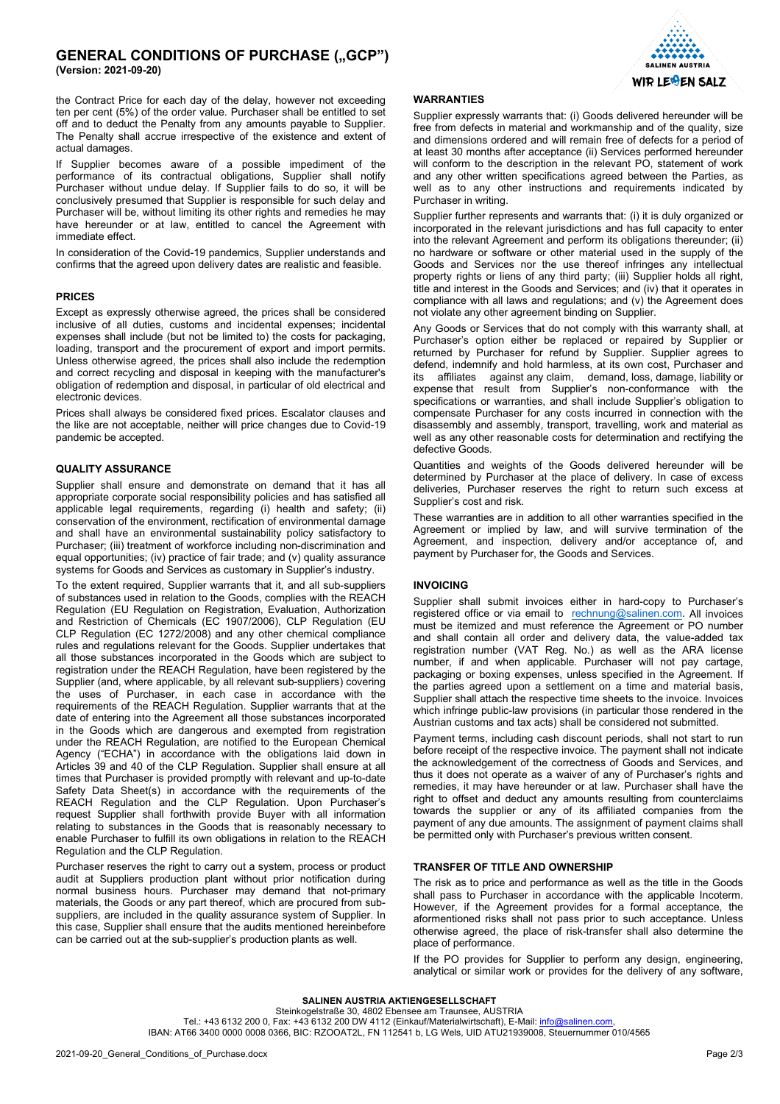## **GENERAL CONDITIONS OF PURCHASE ("GCP") (Version: 2021-09-20)**

the Contract Price for each day of the delay, however not exceeding ten per cent (5%) of the order value. Purchaser shall be entitled to set off and to deduct the Penalty from any amounts payable to Supplier. The Penalty shall accrue irrespective of the existence and extent of actual damages.

If Supplier becomes aware of a possible impediment of the performance of its contractual obligations, Supplier shall notify Purchaser without undue delay. If Supplier fails to do so, it will be conclusively presumed that Supplier is responsible for such delay and Purchaser will be, without limiting its other rights and remedies he may have hereunder or at law, entitled to cancel the Agreement with immediate effect.

In consideration of the Covid-19 pandemics, Supplier understands and confirms that the agreed upon delivery dates are realistic and feasible.

#### **PRICES**

Except as expressly otherwise agreed, the prices shall be considered inclusive of all duties, customs and incidental expenses; incidental expenses shall include (but not be limited to) the costs for packaging, loading, transport and the procurement of export and import permits. Unless otherwise agreed, the prices shall also include the redemption and correct recycling and disposal in keeping with the manufacturer's obligation of redemption and disposal, in particular of old electrical and electronic devices.

Prices shall always be considered fixed prices. Escalator clauses and the like are not acceptable, neither will price changes due to Covid-19 pandemic be accepted.

## **QUALITY ASSURANCE**

Supplier shall ensure and demonstrate on demand that it has all appropriate corporate social responsibility policies and has satisfied all applicable legal requirements, regarding (i) health and safety; (ii) conservation of the environment, rectification of environmental damage and shall have an environmental sustainability policy satisfactory to Purchaser; (iii) treatment of workforce including non-discrimination and equal opportunities; (iv) practice of fair trade; and (v) quality assurance systems for Goods and Services as customary in Supplier's industry.

To the extent required, Supplier warrants that it, and all sub-suppliers of substances used in relation to the Goods, complies with the REACH Regulation (EU Regulation on Registration, Evaluation, Authorization and Restriction of Chemicals (EC 1907/2006), CLP Regulation (EU CLP Regulation (EC 1272/2008) and any other chemical compliance rules and regulations relevant for the Goods. Supplier undertakes that all those substances incorporated in the Goods which are subject to registration under the REACH Regulation, have been registered by the Supplier (and, where applicable, by all relevant sub-suppliers) covering the uses of Purchaser, in each case in accordance with the requirements of the REACH Regulation. Supplier warrants that at the date of entering into the Agreement all those substances incorporated in the Goods which are dangerous and exempted from registration under the REACH Regulation, are notified to the European Chemical Agency ("ECHA") in accordance with the obligations laid down in Articles 39 and 40 of the CLP Regulation. Supplier shall ensure at all times that Purchaser is provided promptly with relevant and up-to-date Safety Data Sheet(s) in accordance with the requirements of the REACH Regulation and the CLP Regulation. Upon Purchaser's request Supplier shall forthwith provide Buyer with all information relating to substances in the Goods that is reasonably necessary to enable Purchaser to fulfill its own obligations in relation to the REACH Regulation and the CLP Regulation.

Purchaser reserves the right to carry out a system, process or product audit at Suppliers production plant without prior notification during normal business hours. Purchaser may demand that not-primary materials, the Goods or any part thereof, which are procured from subsuppliers, are included in the quality assurance system of Supplier. In this case, Supplier shall ensure that the audits mentioned hereinbefore can be carried out at the sub-supplier's production plants as well.



#### **WARRANTIES**

Supplier expressly warrants that: (i) Goods delivered hereunder will be free from defects in material and workmanship and of the quality, size and dimensions ordered and will remain free of defects for a period of at least 30 months after acceptance (ii) Services performed hereunder will conform to the description in the relevant PO, statement of work and any other written specifications agreed between the Parties, as well as to any other instructions and requirements indicated by Purchaser in writing.

Supplier further represents and warrants that: (i) it is duly organized or incorporated in the relevant jurisdictions and has full capacity to enter into the relevant Agreement and perform its obligations thereunder; (ii) no hardware or software or other material used in the supply of the Goods and Services nor the use thereof infringes any intellectual property rights or liens of any third party; (iii) Supplier holds all right, title and interest in the Goods and Services; and (iv) that it operates in compliance with all laws and regulations; and (v) the Agreement does not violate any other agreement binding on Supplier.

Any Goods or Services that do not comply with this warranty shall, at Purchaser's option either be replaced or repaired by Supplier or returned by Purchaser for refund by Supplier. Supplier agrees to defend, indemnify and hold harmless, at its own cost, Purchaser and its affiliates against any claim demand loss damage liability or affiliates against any [claim,](https://www.lawinsider.com/dictionary/claim) demand, [loss,](https://www.lawinsider.com/dictionary/loss) [damage,](https://www.lawinsider.com/dictionary/damage) [liability](https://www.lawinsider.com/clause/liability) or expense that result from Supplier's non-conformance with the specifications or warranties, and shall include Supplier's obligation to compensate Purchaser for any costs incurred in connection with the disassembly and assembly, transport, travelling, work and material as well as any other reasonable costs for determination and rectifying the defective Goods.

Quantities and weights of the Goods delivered hereunder will be determined by Purchaser at the place of delivery. In case of excess deliveries, Purchaser reserves the right to return such excess at Supplier's cost and risk.

[These warranties](https://www.lawinsider.com/clause/express-warranty) are in addition to all other warranties specified in the Agreement or implied by law, and will survive termination of the Agreement, and inspection, delivery and/or acceptance of, and payment by Purchaser for, the Goods and Services.

## **INVOICING**

Supplier shall submit invoices either in hard-copy to Purchaser's registered office or via email to [rechnung@salinen.com.](mailto:rechnung@salinen.com) All invoices must be itemized and must reference the Agreement or PO number and shall contain all order and delivery data, the value-added tax registration number (VAT Reg. No.) as well as the ARA license number, if and when applicable. Purchaser will not pay cartage, packaging or boxing expenses, unless specified in the Agreement. If the parties agreed upon a settlement on a time and material basis, Supplier shall attach the respective time sheets to the invoice. Invoices which infringe public-law provisions (in particular those rendered in the Austrian customs and tax acts) shall be considered not submitted.

Payment terms, including cash discount periods, shall not start to run before receipt of the respective invoice. The payment shall not indicate the acknowledgement of the correctness of Goods and Services, and thus it does not operate as a waiver of any of Purchaser's rights and remedies, it may have hereunder or at law. Purchaser shall have the right to offset and deduct any amounts resulting from counterclaims towards the supplier or any of its affiliated companies from the payment of any due amounts. The assignment of payment claims shall be permitted only with Purchaser's previous written consent.

#### **TRANSFER OF TITLE AND OWNERSHIP**

The risk as to price and performance as well as the title in the Goods shall pass to Purchaser in accordance with the applicable Incoterm. However, if the Agreement provides for a formal acceptance, the aformentioned risks shall not pass prior to such acceptance. Unless otherwise agreed, the place of risk-transfer shall also determine the place of performance.

If the PO provides for Supplier to perform any design, engineering, analytical or similar work or provides for the delivery of any software,

**SALINEN AUSTRIA AKTIENGESELLSCHAFT** Steinkogelstraße 30, 4802 Ebensee am Traunsee, AUSTRIA Tel.: +43 6132 200 0, Fax: +43 6132 200 DW 4112 (Einkauf/Materialwirtschaft), E-Mail: info@salinen.com IBAN: AT66 3400 0000 0008 0366, BIC: RZOOAT2L, FN 112541 b, LG Wels, UID ATU21939008, Steuernummer 010/4565